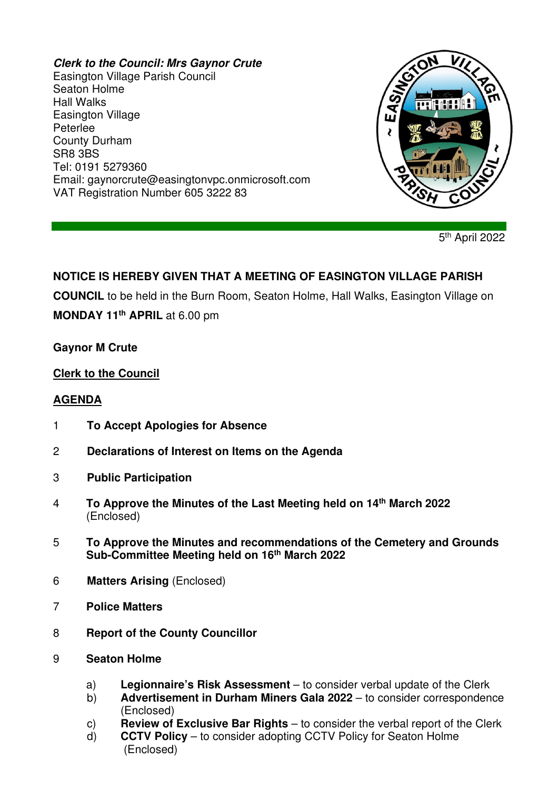#### **Clerk to the Council: Mrs Gaynor Crute**

Easington Village Parish Council Seaton Holme Hall Walks Easington Village Peterlee County Durham SR8 3BS Tel: 0191 5279360 Email: gaynorcrute@easingtonvpc.onmicrosoft.com VAT Registration Number 605 3222 83



5<sup>th</sup> April 2022

# **NOTICE IS HEREBY GIVEN THAT A MEETING OF EASINGTON VILLAGE PARISH**

**COUNCIL** to be held in the Burn Room, Seaton Holme, Hall Walks, Easington Village on

**MONDAY 11th APRIL** at 6.00 pm

#### **Gaynor M Crute**

### **Clerk to the Council**

### **AGENDA**

- 1 **To Accept Apologies for Absence**
- 2 **Declarations of Interest on Items on the Agenda**
- 3 **Public Participation**
- 4 **To Approve the Minutes of the Last Meeting held on 14th March 2022** (Enclosed)
- 5 **To Approve the Minutes and recommendations of the Cemetery and Grounds Sub-Committee Meeting held on 16th March 2022**
- 6 **Matters Arising** (Enclosed)
- 7 **Police Matters**
- 8 **Report of the County Councillor**
- 9 **Seaton Holme** 
	- a) **Legionnaire's Risk Assessment** to consider verbal update of the Clerk
	- b) **Advertisement in Durham Miners Gala 2022** to consider correspondence (Enclosed)
	- c) **Review of Exclusive Bar Rights** to consider the verbal report of the Clerk
	- d) **CCTV Policy** to consider adopting CCTV Policy for Seaton Holme (Enclosed)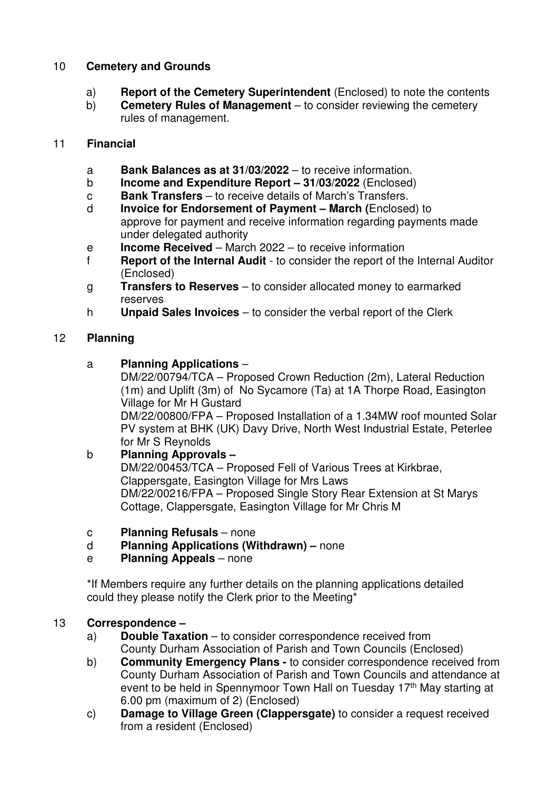## 10 **Cemetery and Grounds**

- a) **Report of the Cemetery Superintendent** (Enclosed) to note the contents
- b) **Cemetery Rules of Management** to consider reviewing the cemetery rules of management.

### 11 **Financial**

- a **Bank Balances as at 31/03/2022** to receive information.
- b **Income and Expenditure Report 31/03/2022** (Enclosed)
- c **Bank Transfers** to receive details of March's Transfers.
- d **Invoice for Endorsement of Payment March (**Enclosed) to approve for payment and receive information regarding payments made under delegated authority
- e **Income Received** March 2022 to receive information
- f **Report of the Internal Audit** to consider the report of the Internal Auditor (Enclosed)
- g **Transfers to Reserves** to consider allocated money to earmarked reserves
- h **Unpaid Sales Invoices** to consider the verbal report of the Clerk

## 12 **Planning**

a **Planning Applications** –

 DM/22/00794/TCA – Proposed Crown Reduction (2m), Lateral Reduction (1m) and Uplift (3m) of No Sycamore (Ta) at 1A Thorpe Road, Easington Village for Mr H Gustard

 DM/22/00800/FPA – Proposed Installation of a 1.34MW roof mounted Solar PV system at BHK (UK) Davy Drive, North West Industrial Estate, Peterlee for Mr S Reynolds

# b **Planning Approvals –**

 DM/22/00453/TCA – Proposed Fell of Various Trees at Kirkbrae, Clappersgate, Easington Village for Mrs Laws DM/22/00216/FPA – Proposed Single Story Rear Extension at St Marys Cottage, Clappersgate, Easington Village for Mr Chris M

- c **Planning Refusals** none
- d **Planning Applications (Withdrawn)** none
- e **Planning Appeals** none

\*If Members require any further details on the planning applications detailed could they please notify the Clerk prior to the Meeting\*

### 13 **Correspondence –**

- a) **Double Taxation** to consider correspondence received from County Durham Association of Parish and Town Councils (Enclosed)
- b) **Community Emergency Plans** to consider correspondence received from County Durham Association of Parish and Town Councils and attendance at event to be held in Spennymoor Town Hall on Tuesday 17<sup>th</sup> May starting at 6.00 pm (maximum of 2) (Enclosed)
- c) **Damage to Village Green (Clappersgate)** to consider a request received from a resident (Enclosed)